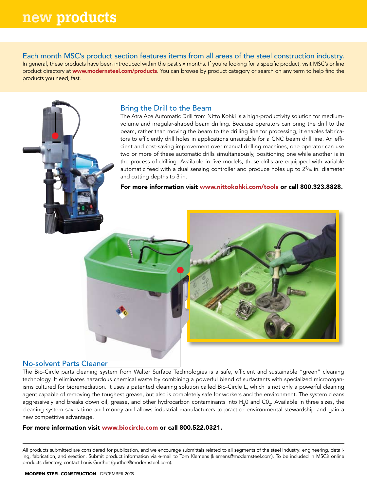Each month MSC's product section features items from all areas of the steel construction industry. In general, these products have been introduced within the past six months. If you're looking for a specific product, visit MSC's online product directory at www.modernsteel.com/products. You can browse by product category or search on any term to help find the products you need, fast.

# Bring the Drill to the Beam

The Atra Ace Automatic Drill from Nitto Kohki is a high-productivity solution for mediumvolume and irregular-shaped beam drilling. Because operators can bring the drill to the beam, rather than moving the beam to the drilling line for processing, it enables fabricators to efficiently drill holes in applications unsuitable for a CNC beam drill line. An efficient and cost-saving improvement over manual drilling machines, one operator can use two or more of these automatic drills simultaneously, positioning one while another is in the process of drilling. Available in five models, these drills are equipped with variable automatic feed with a dual sensing controller and produce holes up to 2%6 in. diameter and cutting depths to 3 in.

For more information visit www.nittokohki.com/tools or call 800.323.8828.



## No-solvent Parts Cleaner

The Bio-Circle parts cleaning system from Walter Surface Technologies is a safe, efficient and sustainable "green" cleaning technology. It eliminates hazardous chemical waste by combining a powerful blend of surfactants with specialized microorganisms cultured for bioremediation. It uses a patented cleaning solution called Bio-Circle L, which is not only a powerful cleaning agent capable of removing the toughest grease, but also is completely safe for workers and the environment. The system cleans aggressively and breaks down oil, grease, and other hydrocarbon contaminants into H<sub>2</sub>0 and CO<sub>2</sub>. Available in three sizes, the cleaning system saves time and money and allows industrial manufacturers to practice environmental stewardship and gain a new competitive advantage.

### For more information visit www.biocircle.com or call 800.522.0321.

All products submitted are considered for publication, and we encourage submittals related to all segments of the steel industry: engineering, detailing, fabrication, and erection. Submit product information via e-mail to Tom Klemens (klemens@modernsteel.com). To be included in MSC's online products directory, contact Louis Gurthet (gurthet@modernsteel.com).